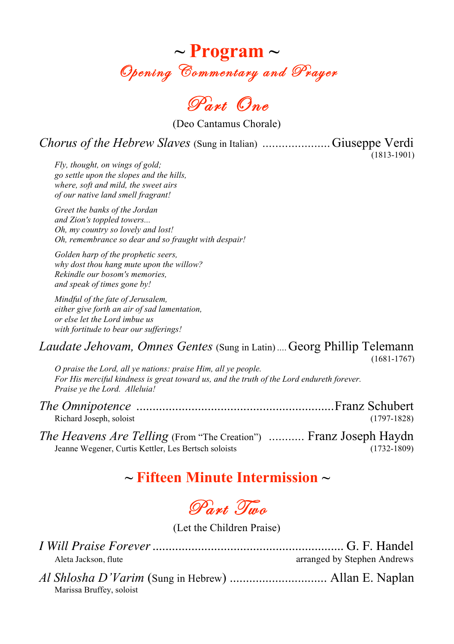

Part One

(Deo Cantamus Chorale)

*Chorus of the Hebrew Slaves* (Sung in Italian) *.....................*Giuseppe Verdi

(1813-1901)

*Fly, thought, on wings of gold; go settle upon the slopes and the hills, where, soft and mild, the sweet airs of our native land smell fragrant!*

*Greet the banks of the Jordan and Zion's toppled towers... Oh, my country so lovely and lost! Oh, remembrance so dear and so fraught with despair!*

*Golden harp of the prophetic seers, why dost thou hang mute upon the willow? Rekindle our bosom's memories, and speak of times gone by!*

*Mindful of the fate of Jerusalem, either give forth an air of sad lamentation, or else let the Lord imbue us with fortitude to bear our sufferings!*

#### *Laudate Jehovam, Omnes Gentes* (Sung in Latin) *....*Georg Phillip Telemann (1681-1767)

*O praise the Lord, all ye nations: praise Him, all ye people. For His merciful kindness is great toward us, and the truth of the Lord endureth forever. Praise ye the Lord. Alleluia!*

| Richard Joseph, soloist                                                  | $(1797-1828)$   |
|--------------------------------------------------------------------------|-----------------|
| <i>The Heavens Are Telling</i> (From "The Creation")  Franz Joseph Haydn |                 |
| Jeanne Wegener, Curtis Kettler, Les Bertsch soloists                     | $(1732 - 1809)$ |

### **~ Fifteen Minute Intermission ~**

Part Two

(Let the Children Praise)

| Aleta Jackson, flute     | arranged by Stephen Andrews |
|--------------------------|-----------------------------|
| Marissa Bruffey, soloist |                             |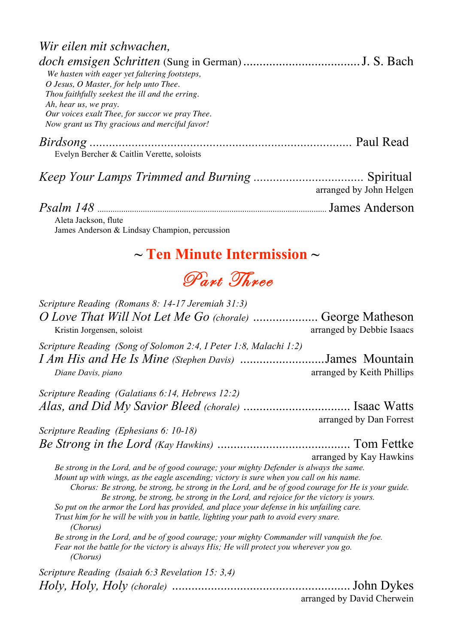| Wir eilen mit schwachen,                        |                         |
|-------------------------------------------------|-------------------------|
|                                                 |                         |
| We hasten with eager yet faltering footsteps,   |                         |
| O Jesus, O Master, for help unto Thee.          |                         |
| Thou faithfully seekest the ill and the erring. |                         |
| Ah, hear us, we pray.                           |                         |
| Our voices exalt Thee, for succor we pray Thee. |                         |
| Now grant us Thy gracious and merciful favor!   |                         |
|                                                 |                         |
| Evelyn Bercher & Caitlin Verette, soloists      |                         |
|                                                 |                         |
|                                                 | arranged by John Helgen |
|                                                 | James Anderson          |
| Aleta Jackson, flute                            |                         |

James Anderson & Lindsay Champion, percussion

## **~ Ten Minute Intermission ~**

# Part Three

| Scripture Reading (Romans 8: 14-17 Jeremiah 31:3)                                                                                                                                                                                                                                                                                                                                                                                                                                                                                                                                                                                                                                                                                                                                    |                                              |
|--------------------------------------------------------------------------------------------------------------------------------------------------------------------------------------------------------------------------------------------------------------------------------------------------------------------------------------------------------------------------------------------------------------------------------------------------------------------------------------------------------------------------------------------------------------------------------------------------------------------------------------------------------------------------------------------------------------------------------------------------------------------------------------|----------------------------------------------|
| O Love That Will Not Let Me Go (chorale)<br>Kristin Jorgensen, soloist                                                                                                                                                                                                                                                                                                                                                                                                                                                                                                                                                                                                                                                                                                               | George Matheson<br>arranged by Debbie Isaacs |
| Scripture Reading (Song of Solomon 2:4, I Peter 1:8, Malachi 1:2)                                                                                                                                                                                                                                                                                                                                                                                                                                                                                                                                                                                                                                                                                                                    |                                              |
| I Am His and He Is Mine (Stephen Davis)<br>Diane Davis, piano                                                                                                                                                                                                                                                                                                                                                                                                                                                                                                                                                                                                                                                                                                                        | James Mountain<br>arranged by Keith Phillips |
| Scripture Reading (Galatians 6:14, Hebrews 12:2)                                                                                                                                                                                                                                                                                                                                                                                                                                                                                                                                                                                                                                                                                                                                     |                                              |
|                                                                                                                                                                                                                                                                                                                                                                                                                                                                                                                                                                                                                                                                                                                                                                                      | arranged by Dan Forrest                      |
| Scripture Reading (Ephesians 6: 10-18)                                                                                                                                                                                                                                                                                                                                                                                                                                                                                                                                                                                                                                                                                                                                               |                                              |
|                                                                                                                                                                                                                                                                                                                                                                                                                                                                                                                                                                                                                                                                                                                                                                                      |                                              |
|                                                                                                                                                                                                                                                                                                                                                                                                                                                                                                                                                                                                                                                                                                                                                                                      | arranged by Kay Hawkins                      |
| Be strong in the Lord, and be of good courage; your mighty Defender is always the same.<br>Mount up with wings, as the eagle ascending; victory is sure when you call on his name.<br>Chorus: Be strong, be strong, be strong in the Lord, and be of good courage for He is your guide.<br>Be strong, be strong, be strong in the Lord, and rejoice for the victory is yours.<br>So put on the armor the Lord has provided, and place your defense in his unfailing care.<br>Trust him for he will be with you in battle, lighting your path to avoid every snare.<br>(Chorus)<br>Be strong in the Lord, and be of good courage; your mighty Commander will vanquish the foe.<br>Fear not the battle for the victory is always His; He will protect you wherever you go.<br>(Chorus) |                                              |
| Scripture Reading (Isaiah 6:3 Revelation 15: 3,4)                                                                                                                                                                                                                                                                                                                                                                                                                                                                                                                                                                                                                                                                                                                                    |                                              |
|                                                                                                                                                                                                                                                                                                                                                                                                                                                                                                                                                                                                                                                                                                                                                                                      |                                              |

arranged by David Cherwein